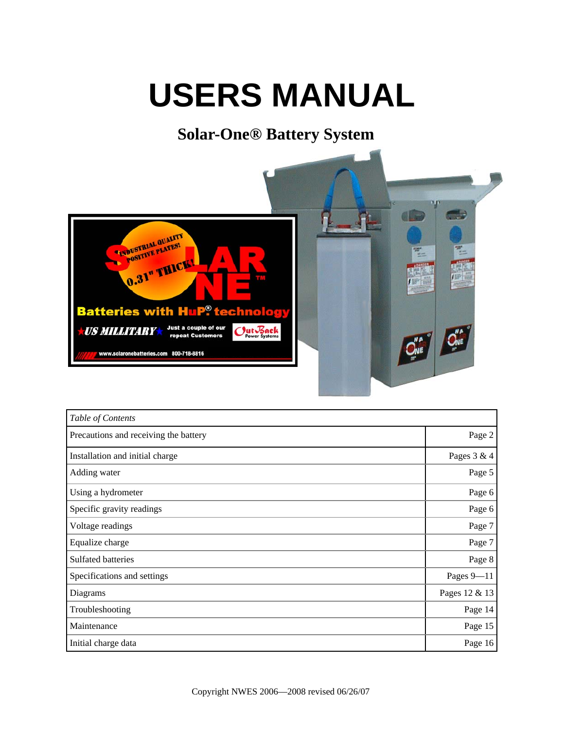# **USERS MANUAL**

### **Solar-One® Battery System**



| Table of Contents                     |               |
|---------------------------------------|---------------|
| Precautions and receiving the battery | Page 2        |
| Installation and initial charge       | Pages 3 & 4   |
| Adding water                          | Page 5        |
| Using a hydrometer                    | Page 6        |
| Specific gravity readings             | Page 6        |
| Voltage readings                      | Page 7        |
| Equalize charge                       | Page 7        |
| Sulfated batteries                    | Page 8        |
| Specifications and settings           | Pages $9-11$  |
| Diagrams                              | Pages 12 & 13 |
| Troubleshooting                       | Page 14       |
| Maintenance                           | Page 15       |
| Initial charge data                   | Page 16       |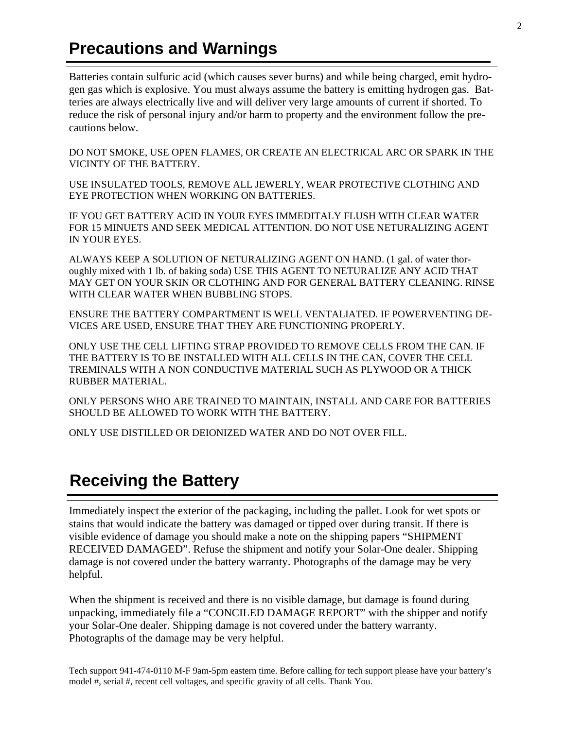#### **Precautions and Warnings**

Batteries contain sulfuric acid (which causes sever burns) and while being charged, emit hydrogen gas which is explosive. You must always assume the battery is emitting hydrogen gas. Batteries are always electrically live and will deliver very large amounts of current if shorted. To reduce the risk of personal injury and/or harm to property and the environment follow the precautions below.

DO NOT SMOKE, USE OPEN FLAMES, OR CREATE AN ELECTRICAL ARC OR SPARK IN THE VICINTY OF THE BATTERY.

USE INSULATED TOOLS, REMOVE ALL JEWERLY, WEAR PROTECTIVE CLOTHING AND EYE PROTECTION WHEN WORKING ON BATTERIES.

IF YOU GET BATTERY ACID IN YOUR EYES IMMEDITALY FLUSH WITH CLEAR WATER FOR 15 MINUETS AND SEEK MEDICAL ATTENTION. DO NOT USE NETURALIZING AGENT IN YOUR EYES.

ALWAYS KEEP A SOLUTION OF NETURALIZING AGENT ON HAND. (1 gal. of water thoroughly mixed with 1 lb. of baking soda) USE THIS AGENT TO NETURALIZE ANY ACID THAT MAY GET ON YOUR SKIN OR CLOTHING AND FOR GENERAL BATTERY CLEANING. RINSE WITH CLEAR WATER WHEN BUBBLING STOPS.

ENSURE THE BATTERY COMPARTMENT IS WELL VENTALIATED. IF POWERVENTING DE-VICES ARE USED, ENSURE THAT THEY ARE FUNCTIONING PROPERLY.

ONLY USE THE CELL LIFTING STRAP PROVIDED TO REMOVE CELLS FROM THE CAN. IF THE BATTERY IS TO BE INSTALLED WITH ALL CELLS IN THE CAN, COVER THE CELL TREMINALS WITH A NON CONDUCTIVE MATERIAL SUCH AS PLYWOOD OR A THICK RUBBER MATERIAL.

ONLY PERSONS WHO ARE TRAINED TO MAINTAIN, INSTALL AND CARE FOR BATTERIES SHOULD BE ALLOWED TO WORK WITH THE BATTERY.

ONLY USE DISTILLED OR DEIONIZED WATER AND DO NOT OVER FILL.

#### **Receiving the Battery**

Immediately inspect the exterior of the packaging, including the pallet. Look for wet spots or stains that would indicate the battery was damaged or tipped over during transit. If there is visible evidence of damage you should make a note on the shipping papers "SHIPMENT RECEIVED DAMAGED". Refuse the shipment and notify your Solar-One dealer. Shipping damage is not covered under the battery warranty. Photographs of the damage may be very helpful.

When the shipment is received and there is no visible damage, but damage is found during unpacking, immediately file a "CONCILED DAMAGE REPORT" with the shipper and notify your Solar-One dealer. Shipping damage is not covered under the battery warranty. Photographs of the damage may be very helpful.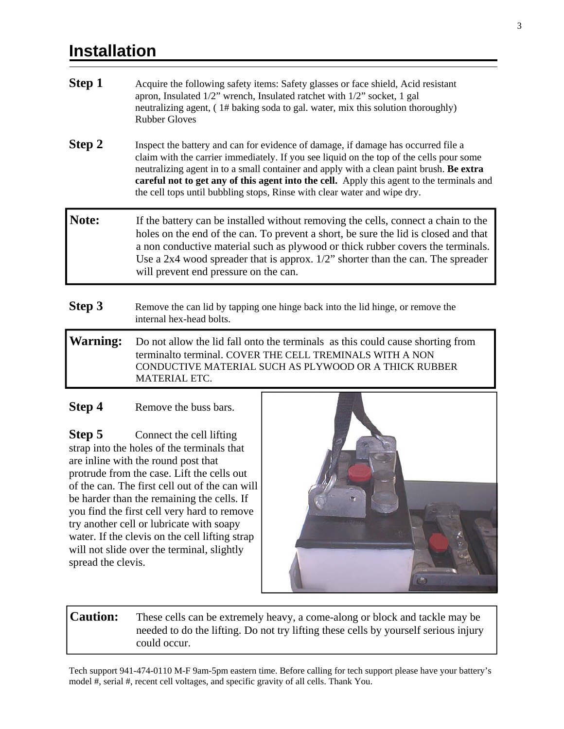#### **Installation**

- **Step 1** Acquire the following safety items: Safety glasses or face shield, Acid resistant apron, Insulated 1/2" wrench, Insulated ratchet with 1/2" socket, 1 gal neutralizing agent, ( 1# baking soda to gal. water, mix this solution thoroughly) Rubber Gloves **Step 2** Inspect the battery and can for evidence of damage, if damage has occurred file a claim with the carrier immediately. If you see liquid on the top of the cells pour some neutralizing agent in to a small container and apply with a clean paint brush. **Be extra careful not to get any of this agent into the cell.** Apply this agent to the terminals and the cell tops until bubbling stops, Rinse with clear water and wipe dry. Note: If the battery can be installed without removing the cells, connect a chain to the holes on the end of the can. To prevent a short, be sure the lid is closed and that a non conductive material such as plywood or thick rubber covers the terminals. Use a 2x4 wood spreader that is approx. 1/2" shorter than the can. The spreader
- **Step 3** Remove the can lid by tapping one hinge back into the lid hinge, or remove the internal hex-head bolts.

will prevent end pressure on the can.

**Warning:** Do not allow the lid fall onto the terminals as this could cause shorting from terminalto terminal. COVER THE CELL TREMINALS WITH A NON CONDUCTIVE MATERIAL SUCH AS PLYWOOD OR A THICK RUBBER MATERIAL ETC.

#### **Step 4** Remove the buss bars.

**Step 5** Connect the cell lifting strap into the holes of the terminals that are inline with the round post that protrude from the case. Lift the cells out of the can. The first cell out of the can will be harder than the remaining the cells. If you find the first cell very hard to remove try another cell or lubricate with soapy water. If the clevis on the cell lifting strap will not slide over the terminal, slightly spread the clevis.



**Caution:** These cells can be extremely heavy, a come-along or block and tackle may be needed to do the lifting. Do not try lifting these cells by yourself serious injury could occur.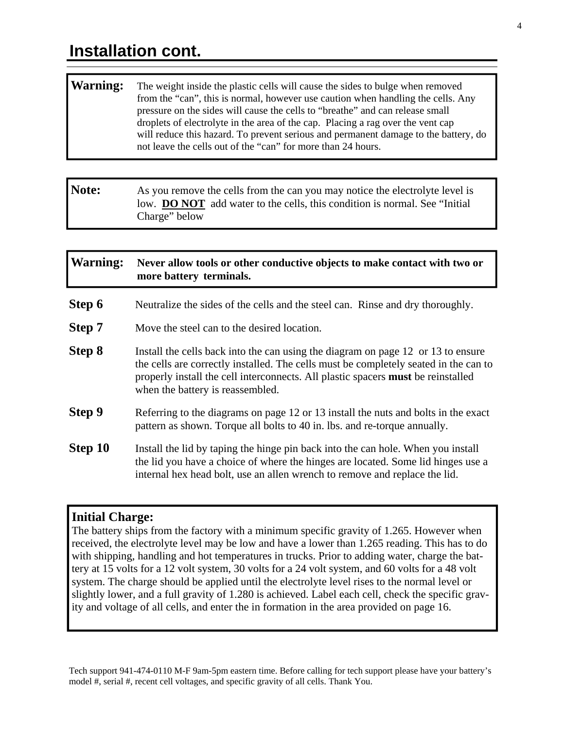#### **Warning:** The weight inside the plastic cells will cause the sides to bulge when removed from the "can", this is normal, however use caution when handling the cells. Any pressure on the sides will cause the cells to "breathe" and can release small droplets of electrolyte in the area of the cap. Placing a rag over the vent cap will reduce this hazard. To prevent serious and permanent damage to the battery, do not leave the cells out of the "can" for more than 24 hours.

**Note:** As you remove the cells from the can you may notice the electrolyte level is low. **DO NOT** add water to the cells, this condition is normal. See "Initial" Charge" below

#### **Warning: Never allow tools or other conductive objects to make contact with two or more battery terminals.**

- **Step 6** Neutralize the sides of the cells and the steel can. Rinse and dry thoroughly.
- **Step 7** Move the steel can to the desired location.
- **Step 8** Install the cells back into the can using the diagram on page 12 or 13 to ensure the cells are correctly installed. The cells must be completely seated in the can to properly install the cell interconnects. All plastic spacers **must** be reinstalled when the battery is reassembled.
- **Step 9** Referring to the diagrams on page 12 or 13 install the nuts and bolts in the exact pattern as shown. Torque all bolts to 40 in. lbs. and re-torque annually.
- **Step 10** Install the lid by taping the hinge pin back into the can hole. When you install the lid you have a choice of where the hinges are located. Some lid hinges use a internal hex head bolt, use an allen wrench to remove and replace the lid.

#### **Initial Charge:**

The battery ships from the factory with a minimum specific gravity of 1.265. However when received, the electrolyte level may be low and have a lower than 1.265 reading. This has to do with shipping, handling and hot temperatures in trucks. Prior to adding water, charge the battery at 15 volts for a 12 volt system, 30 volts for a 24 volt system, and 60 volts for a 48 volt system. The charge should be applied until the electrolyte level rises to the normal level or slightly lower, and a full gravity of 1.280 is achieved. Label each cell, check the specific gravity and voltage of all cells, and enter the in formation in the area provided on page 16.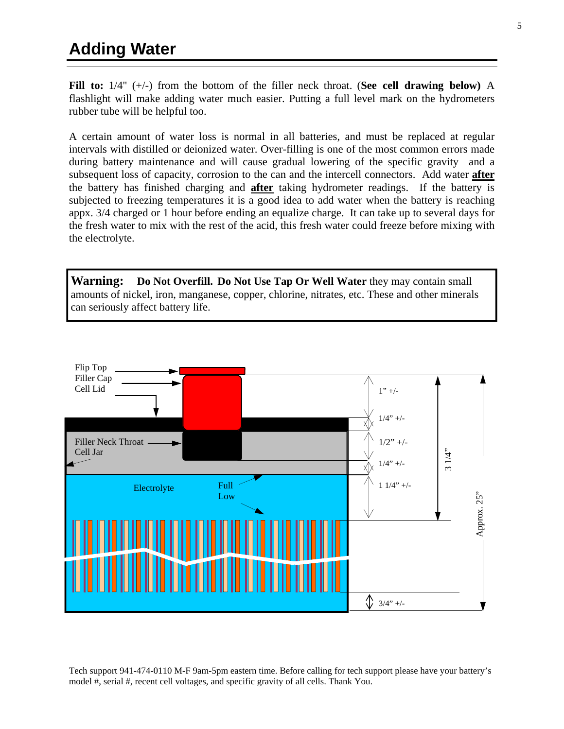**Fill to:** 1/4" (+/-) from the bottom of the filler neck throat. (**See cell drawing below)** A flashlight will make adding water much easier. Putting a full level mark on the hydrometers rubber tube will be helpful too.

A certain amount of water loss is normal in all batteries, and must be replaced at regular intervals with distilled or deionized water. Over-filling is one of the most common errors made during battery maintenance and will cause gradual lowering of the specific gravity and a subsequent loss of capacity, corrosion to the can and the intercell connectors. Add water **after** the battery has finished charging and **after** taking hydrometer readings. If the battery is subjected to freezing temperatures it is a good idea to add water when the battery is reaching appx. 3/4 charged or 1 hour before ending an equalize charge. It can take up to several days for the fresh water to mix with the rest of the acid, this fresh water could freeze before mixing with the electrolyte.

**Warning: Do Not Overfill. Do Not Use Tap Or Well Water** they may contain small amounts of nickel, iron, manganese, copper, chlorine, nitrates, etc. These and other minerals can seriously affect battery life.

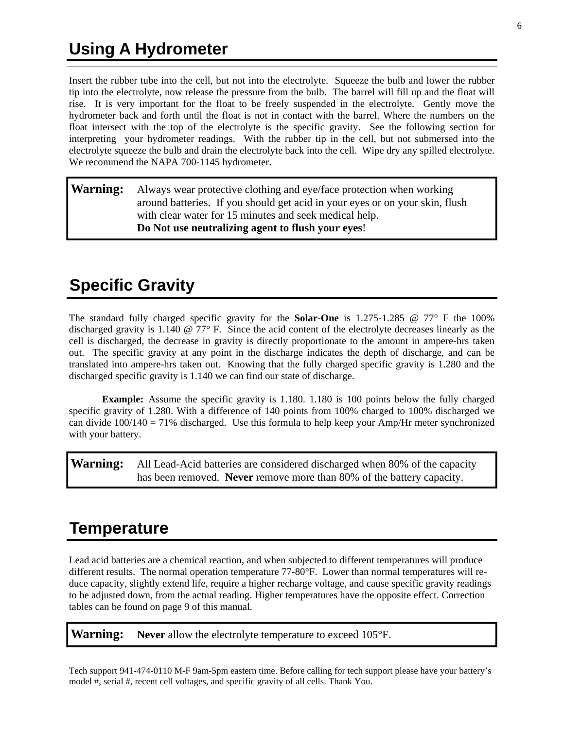Insert the rubber tube into the cell, but not into the electrolyte. Squeeze the bulb and lower the rubber tip into the electrolyte, now release the pressure from the bulb. The barrel will fill up and the float will rise. It is very important for the float to be freely suspended in the electrolyte. Gently move the hydrometer back and forth until the float is not in contact with the barrel. Where the numbers on the float intersect with the top of the electrolyte is the specific gravity. See the following section for interpreting your hydrometer readings. With the rubber tip in the cell, but not submersed into the electrolyte squeeze the bulb and drain the electrolyte back into the cell. Wipe dry any spilled electrolyte. We recommend the NAPA 700-1145 hydrometer.

#### **Warning:** Always wear protective clothing and eye/face protection when working around batteries. If you should get acid in your eyes or on your skin, flush with clear water for 15 minutes and seek medical help. **Do Not use neutralizing agent to flush your eyes**!

### **Specific Gravity**

The standard fully charged specific gravity for the **Solar-One** is 1.275-1.285 @ 77° F the 100% discharged gravity is 1.140 @ 77° F. Since the acid content of the electrolyte decreases linearly as the cell is discharged, the decrease in gravity is directly proportionate to the amount in ampere-hrs taken out. The specific gravity at any point in the discharge indicates the depth of discharge, and can be translated into ampere-hrs taken out. Knowing that the fully charged specific gravity is 1.280 and the discharged specific gravity is 1.140 we can find our state of discharge.

**Example:** Assume the specific gravity is 1.180. 1.180 is 100 points below the fully charged specific gravity of 1.280. With a difference of 140 points from 100% charged to 100% discharged we can divide  $100/140 = 71\%$  discharged. Use this formula to help keep your Amp/Hr meter synchronized with your battery.

**Warning:** All Lead-Acid batteries are considered discharged when 80% of the capacity has been removed. **Never** remove more than 80% of the battery capacity.

### **Temperature**

Lead acid batteries are a chemical reaction, and when subjected to different temperatures will produce different results. The normal operation temperature 77-80°F. Lower than normal temperatures will reduce capacity, slightly extend life, require a higher recharge voltage, and cause specific gravity readings to be adjusted down, from the actual reading. Higher temperatures have the opposite effect. Correction tables can be found on page 9 of this manual.

**Warning: Never** allow the electrolyte temperature to exceed 105°F.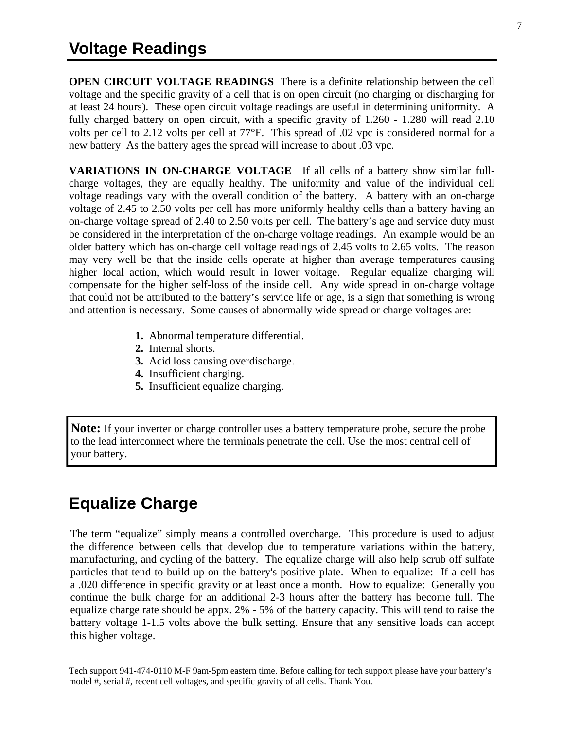**OPEN CIRCUIT VOLTAGE READINGS** There is a definite relationship between the cell voltage and the specific gravity of a cell that is on open circuit (no charging or discharging for at least 24 hours). These open circuit voltage readings are useful in determining uniformity. A fully charged battery on open circuit, with a specific gravity of 1.260 - 1.280 will read 2.10 volts per cell to 2.12 volts per cell at 77°F. This spread of .02 vpc is considered normal for a new battery As the battery ages the spread will increase to about .03 vpc.

**VARIATIONS IN ON-CHARGE VOLTAGE** If all cells of a battery show similar fullcharge voltages, they are equally healthy. The uniformity and value of the individual cell voltage readings vary with the overall condition of the battery. A battery with an on-charge voltage of 2.45 to 2.50 volts per cell has more uniformly healthy cells than a battery having an on-charge voltage spread of 2.40 to 2.50 volts per cell. The battery's age and service duty must be considered in the interpretation of the on-charge voltage readings. An example would be an older battery which has on-charge cell voltage readings of 2.45 volts to 2.65 volts. The reason may very well be that the inside cells operate at higher than average temperatures causing higher local action, which would result in lower voltage. Regular equalize charging will compensate for the higher self-loss of the inside cell. Any wide spread in on-charge voltage that could not be attributed to the battery's service life or age, is a sign that something is wrong and attention is necessary. Some causes of abnormally wide spread or charge voltages are:

- **1.** Abnormal temperature differential.
- **2.** Internal shorts.
- **3.** Acid loss causing overdischarge.
- **4.** Insufficient charging.
- **5.** Insufficient equalize charging.

**Note:** If your inverter or charge controller uses a battery temperature probe, secure the probe to the lead interconnect where the terminals penetrate the cell. Use the most central cell of your battery.

#### **Equalize Charge**

The term "equalize" simply means a controlled overcharge. This procedure is used to adjust the difference between cells that develop due to temperature variations within the battery, manufacturing, and cycling of the battery. The equalize charge will also help scrub off sulfate particles that tend to build up on the battery's positive plate. When to equalize: If a cell has a .020 difference in specific gravity or at least once a month. How to equalize: Generally you continue the bulk charge for an additional 2-3 hours after the battery has become full. The equalize charge rate should be appx. 2% - 5% of the battery capacity. This will tend to raise the battery voltage 1-1.5 volts above the bulk setting. Ensure that any sensitive loads can accept this higher voltage.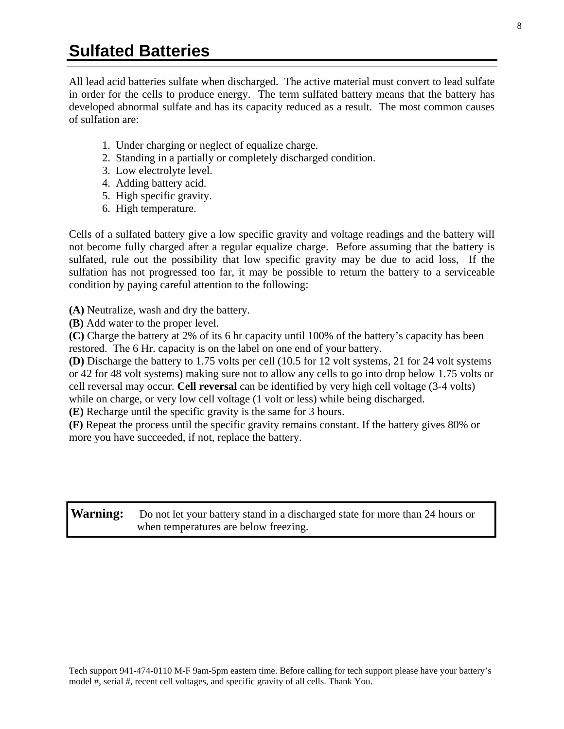All lead acid batteries sulfate when discharged. The active material must convert to lead sulfate in order for the cells to produce energy. The term sulfated battery means that the battery has developed abnormal sulfate and has its capacity reduced as a result. The most common causes of sulfation are:

- 1. Under charging or neglect of equalize charge.
- 2. Standing in a partially or completely discharged condition.
- 3. Low electrolyte level.
- 4. Adding battery acid.
- 5. High specific gravity.
- 6. High temperature.

Cells of a sulfated battery give a low specific gravity and voltage readings and the battery will not become fully charged after a regular equalize charge. Before assuming that the battery is sulfated, rule out the possibility that low specific gravity may be due to acid loss, If the sulfation has not progressed too far, it may be possible to return the battery to a serviceable condition by paying careful attention to the following:

**(A)** Neutralize, wash and dry the battery.

**(B)** Add water to the proper level.

**(C)** Charge the battery at 2% of its 6 hr capacity until 100% of the battery's capacity has been restored. The 6 Hr. capacity is on the label on one end of your battery.

**(D)** Discharge the battery to 1.75 volts per cell (10.5 for 12 volt systems, 21 for 24 volt systems or 42 for 48 volt systems) making sure not to allow any cells to go into drop below 1.75 volts or cell reversal may occur. **Cell reversal** can be identified by very high cell voltage (3-4 volts) while on charge, or very low cell voltage (1 volt or less) while being discharged.

**(E)** Recharge until the specific gravity is the same for 3 hours.

**(F)** Repeat the process until the specific gravity remains constant. If the battery gives 80% or more you have succeeded, if not, replace the battery.

**Warning:** Do not let your battery stand in a discharged state for more than 24 hours or when temperatures are below freezing.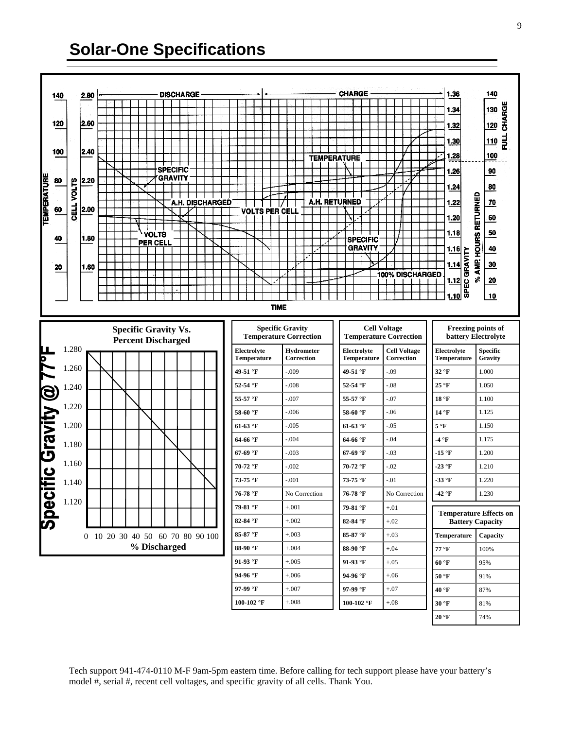### **Solar-One Specifications**

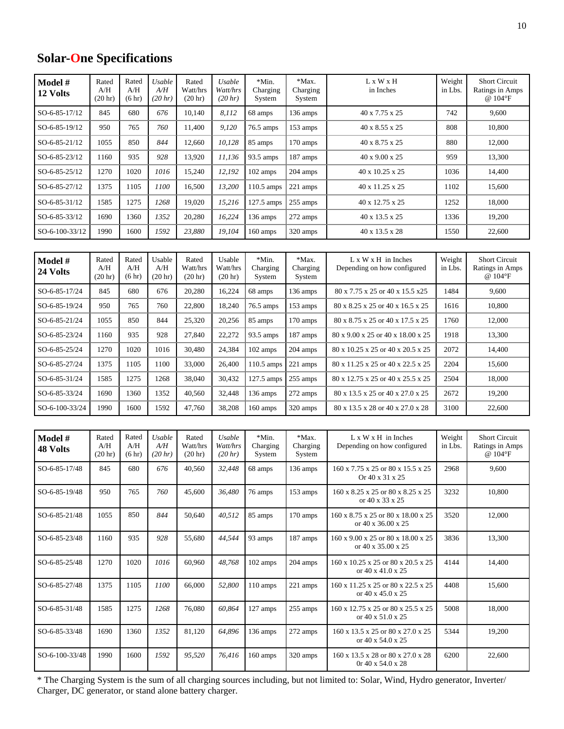#### **Solar-One Specifications**

| Model #<br>12 Volts        | Rated<br>A/H<br>(20 <sub>hr</sub> ) | Rated<br>A/H<br>(6 hr) | Usable<br>A/H<br>(20 hr) | Rated<br>Watt/hrs<br>(20 hr) | <b>Usable</b><br>Watt/hrs<br>(20 hr) | *Min.<br>Charging<br>System | *Max.<br>Charging<br>System | Weight<br>L x W x H<br>in Inches<br>in Lbs.                        |                   | <b>Short Circuit</b><br>Ratings in Amps<br>@ 104°F |
|----------------------------|-------------------------------------|------------------------|--------------------------|------------------------------|--------------------------------------|-----------------------------|-----------------------------|--------------------------------------------------------------------|-------------------|----------------------------------------------------|
| SO-6-85-17/12              | 845                                 | 680                    | 676                      | 10,140                       | 8,112                                | 68 amps                     | 136 amps                    | 742<br>40 x 7.75 x 25                                              |                   | 9,600                                              |
| SO-6-85-19/12              | 950                                 | 765                    | 760                      | 11.400                       | 9,120                                | 76.5 amps                   | 153 amps                    | 40 x 8.55 x 25                                                     | 808               | 10,800                                             |
| SO-6-85-21/12              | 1055                                | 850                    | 844                      | 12.660                       | 10,128                               | 85 amps                     | 170 amps                    | 40 x 8.75 x 25                                                     | 880               | 12,000                                             |
| SO-6-85-23/12              | 1160                                | 935                    | 928                      | 13,920                       | 11,136                               | 93.5 amps                   | 187 amps                    | 40 x 9.00 x 25                                                     |                   | 13,300                                             |
| SO-6-85-25/12              | 1270                                | 1020                   | 1016                     | 15,240                       | 12,192                               | 102 amps                    | 204 amps                    | 40 x 10.25 x 25                                                    | 1036              | 14,400                                             |
| SO-6-85-27/12              | 1375                                | 1105                   | 1100                     | 16,500                       | 13,200                               | 110.5 amps                  | 221 amps                    | 40 x 11.25 x 25                                                    | 1102              | 15,600                                             |
| SO-6-85-31/12              | 1585                                | 1275                   | 1268                     | 19,020                       | 15,216                               | 127.5 amps                  | 255 amps                    | 40 x 12.75 x 25                                                    | 1252              | 18,000                                             |
| SO-6-85-33/12              | 1690                                | 1360                   | 1352                     | 20,280                       | 16,224                               | 136 amps                    | 272 amps                    | 40 x 13.5 x 25                                                     | 1336              | 19,200                                             |
| SO-6-100-33/12             | 1990                                | 1600                   | 1592                     | 23,880                       | 19,104                               | 160 amps                    | 320 amps                    | 40 x 13.5 x 28                                                     | 1550              | 22,600                                             |
|                            |                                     |                        |                          |                              |                                      |                             |                             |                                                                    |                   |                                                    |
| Model #<br>24 Volts        | Rated<br>A/H<br>(20 <sub>hr</sub> ) | Rated<br>A/H<br>(6 hr) | Usable<br>A/H<br>(20 hr) | Rated<br>Watt/hrs<br>(20 hr) | Usable<br>Watt/hrs<br>(20 hr)        | *Min.<br>Charging<br>System | *Max.<br>Charging<br>System | $L \times W \times H$ in Inches<br>Depending on how configured     | Weight<br>in Lbs. | <b>Short Circuit</b><br>Ratings in Amps<br>@ 104°F |
| SO-6-85-17/24              | 845                                 | 680                    | 676                      | 20.280                       | 16,224                               | 68 amps                     | 136 amps                    | 80 x 7.75 x 25 or 40 x 15.5 x25                                    | 1484              | 9,600                                              |
| SO-6-85-19/24              | 950                                 | 765                    | 760                      | 22,800                       | 18,240                               | 76.5 amps                   | 153 amps                    | 80 x 8.25 x 25 or 40 x 16.5 x 25                                   | 1616              | 10,800                                             |
| SO-6-85-21/24              | 1055                                | 850                    | 844                      | 25,320                       | 20,256                               | 85 amps                     | 170 amps                    | 80 x 8.75 x 25 or 40 x 17.5 x 25                                   | 1760              | 12,000                                             |
| SO-6-85-23/24              | 1160                                | 935                    | 928                      | 27,840                       | 22,272                               | 93.5 amps                   | 187 amps                    | 80 x 9.00 x 25 or 40 x 18.00 x 25                                  | 1918              | 13,300                                             |
| SO-6-85-25/24              | 1270                                | 1020                   | 1016                     | 30,480                       | 24,384                               | 102 amps                    | 204 amps                    | 80 x 10.25 x 25 or 40 x 20.5 x 25                                  | 2072              | 14,400                                             |
| SO-6-85-27/24              | 1375                                | 1105                   | 1100                     | 33,000                       | 26,400                               | 110.5 amps                  | 221 amps                    | 80 x 11.25 x 25 or 40 x 22.5 x 25                                  | 2204              | 15,600                                             |
| SO-6-85-31/24              | 1585                                | 1275                   | 1268                     | 38,040                       | 30,432                               | 127.5 amps                  | 255 amps                    | 80 x 12.75 x 25 or 40 x 25.5 x 25                                  | 2504              | 18,000                                             |
| SO-6-85-33/24              | 1690                                | 1360                   | 1352                     | 40,560                       | 32,448                               | 136 amps                    | 272 amps                    | 80 x 13.5 x 25 or 40 x 27.0 x 25                                   | 2672              | 19,200                                             |
| SO-6-100-33/24             | 1990                                | 1600                   | 1592                     | 47,760                       | 38,208                               | 160 amps                    | 320 amps                    | 80 x 13.5 x 28 or 40 x 27.0 x 28                                   | 3100              | 22,600                                             |
|                            |                                     |                        |                          |                              |                                      |                             |                             |                                                                    |                   |                                                    |
| Model #<br><b>48 Volts</b> | Rated<br>A/H<br>(20 <sub>hr</sub> ) | Rated<br>A/H<br>(6 hr) | Usable<br>A/H<br>(20 hr) | Rated<br>Watt/hrs<br>(20 hr) | Usable<br>Watt/hrs<br>(20 hr)        | *Min.<br>Charging<br>System | *Max.<br>Charging<br>System | $L \times W \times H$ in Inches<br>Depending on how configured     | Weight<br>in Lbs. | <b>Short Circuit</b><br>Ratings in Amps<br>@ 104°F |
| SO-6-85-17/48              | 845                                 | 680                    | 676                      | 40,560                       | 32,448                               | 68 amps                     | 136 amps                    | 160 x 7.75 x 25 or 80 x 15.5 x 25<br>Or 40 x 31 x 25               |                   | 9,600                                              |
| SO-6-85-19/48              | 950                                 | 765                    | 760                      | 45,600                       | 36,480                               | 76 amps                     | 153 amps                    | 160 x 8.25 x 25 or 80 x 8.25 x 25<br>3232<br>or 40 x 33 x 25       |                   | 10,800                                             |
| SO-6-85-21/48              | 1055                                | 850                    | 844                      | 50,640                       | 40,512                               | 85 amps                     | 170 amps                    | 160 x 8.75 x 25 or 80 x 18.00 x 25<br>or 40 x 36.00 x 25           | 3520              | 12,000                                             |
| SO-6-85-23/48              | 1160                                | 935                    | 928                      | 55,680                       | 44,544                               | 93 amps                     | 187 amps                    | 160 x 9.00 x 25 or 80 x 18.00 x 25<br>3836<br>or 40 x 35.00 x 25   |                   | 13,300                                             |
| SO-6-85-25/48              | 1270                                | 1020                   | 1016                     | 60,960                       | 48,768                               | 102 amps                    | 204 amps                    | 160 x 10.25 x 25 or 80 x 20.5 x 25<br>4144<br>or 40 x 41.0 x 25    |                   | 14,400                                             |
| SO-6-85-27/48              | 1375                                | 1105                   | 1100                     | 66,000                       | 52,800                               | 110 amps                    | 221 amps                    | 160 x 11.25 x 25 or 80 x 22.5 x 25<br>or 40 x 45.0 x 25            | 4408              | 15,600                                             |
| SO-6-85-31/48              | 1585                                | 1275                   | 1268                     | 76,080                       | 60,864                               | 127 amps                    | 255 amps                    | 160 x 12.75 x 25 or 80 x 25.5 x 25<br>or 40 x 51.0 x 25            | 5008              | 18,000                                             |
| SO-6-85-33/48              | 1690                                | 1360                   | 1352                     | 81,120                       | 64,896                               | 136 amps                    | 272 amps                    | 160 x 13.5 x 25 or 80 x 27.0 x 25<br>or 40 x 54.0 x 25             | 5344              | 19,200                                             |
| SO-6-100-33/48             | 1990                                | 1600                   | 1592                     | 95,520                       | 76,416                               | 160 amps                    | 320 amps                    | 160 x 13.5 x 28 or 80 x 27.0 x 28<br>Or $40 \times 54.0 \times 28$ | 6200              | 22,600                                             |

\* The Charging System is the sum of all charging sources including, but not limited to: Solar, Wind, Hydro generator, Inverter/ Charger, DC generator, or stand alone battery charger.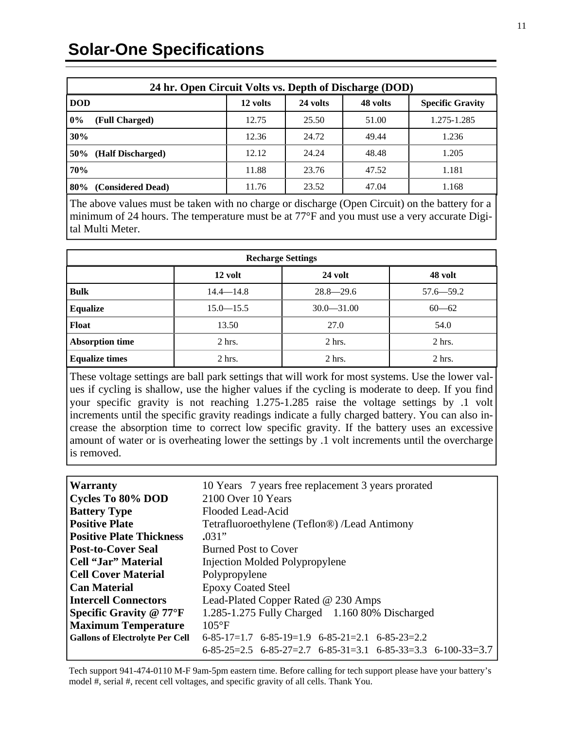### **Solar-One Specifications**

| 24 hr. Open Circuit Volts vs. Depth of Discharge (DOD) |          |          |          |                         |  |  |
|--------------------------------------------------------|----------|----------|----------|-------------------------|--|--|
| <b>DOD</b>                                             | 12 volts | 24 volts | 48 volts | <b>Specific Gravity</b> |  |  |
| $0\%$<br>(Full Charged)                                | 12.75    | 25.50    | 51.00    | 1.275-1.285             |  |  |
| 30%                                                    | 12.36    | 24.72    | 49.44    | 1.236                   |  |  |
| 50%<br>(Half Discharged)                               | 12.12    | 24.24    | 48.48    | 1.205                   |  |  |
| 70%                                                    | 11.88    | 23.76    | 47.52    | 1.181                   |  |  |
| (Considered Dead)<br>80%                               | 11.76    | 23.52    | 47.04    | 1.168                   |  |  |

The above values must be taken with no charge or discharge (Open Circuit) on the battery for a minimum of 24 hours. The temperature must be at 77°F and you must use a very accurate Digital Multi Meter.

| <b>Recharge Settings</b> |               |                |               |  |  |
|--------------------------|---------------|----------------|---------------|--|--|
|                          | 12 volt       | 24 volt        | 48 volt       |  |  |
| <b>Bulk</b>              | $14.4 - 14.8$ | $28.8 - 29.6$  | $57.6 - 59.2$ |  |  |
| <b>Equalize</b>          | $15.0 - 15.5$ | $30.0 - 31.00$ | $60 - 62$     |  |  |
| <b>Float</b>             | 13.50         | 27.0           | 54.0          |  |  |
| <b>Absorption time</b>   | $2$ hrs.      | $2$ hrs.       | $2$ hrs.      |  |  |
| <b>Equalize times</b>    | $2$ hrs.      | $2$ hrs.       | $2$ hrs.      |  |  |

These voltage settings are ball park settings that will work for most systems. Use the lower values if cycling is shallow, use the higher values if the cycling is moderate to deep. If you find your specific gravity is not reaching 1.275-1.285 raise the voltage settings by .1 volt increments until the specific gravity readings indicate a fully charged battery. You can also increase the absorption time to correct low specific gravity. If the battery uses an excessive amount of water or is overheating lower the settings by .1 volt increments until the overcharge is removed.

| <b>Warranty</b>                        | 10 Years 7 years free replacement 3 years prorated                     |  |  |  |
|----------------------------------------|------------------------------------------------------------------------|--|--|--|
| <b>Cycles To 80% DOD</b>               | 2100 Over 10 Years                                                     |  |  |  |
| <b>Battery Type</b>                    | Flooded Lead-Acid                                                      |  |  |  |
| <b>Positive Plate</b>                  | Tetrafluoroethylene (Teflon®) /Lead Antimony                           |  |  |  |
| <b>Positive Plate Thickness</b>        | .031"                                                                  |  |  |  |
| <b>Post-to-Cover Seal</b>              | <b>Burned Post to Cover</b>                                            |  |  |  |
| Cell "Jar" Material                    | <b>Injection Molded Polypropylene</b>                                  |  |  |  |
| <b>Cell Cover Material</b>             | Polypropylene                                                          |  |  |  |
| <b>Can Material</b>                    | <b>Epoxy Coated Steel</b>                                              |  |  |  |
| <b>Intercell Connectors</b>            | Lead-Plated Copper Rated @ 230 Amps                                    |  |  |  |
| <b>Specific Gravity @ 77°F</b>         | 1.285-1.275 Fully Charged 1.160 80% Discharged                         |  |  |  |
| <b>Maximum Temperature</b>             | $105^{\circ}F$                                                         |  |  |  |
| <b>Gallons of Electrolyte Per Cell</b> | $6-85-17=1.7$ $6-85-19=1.9$ $6-85-21=2.1$ $6-85-23=2.2$                |  |  |  |
|                                        | $6-85-25=2.5$ $6-85-27=2.7$ $6-85-31=3.1$ $6-85-33=3.3$ $6-100-33=3.7$ |  |  |  |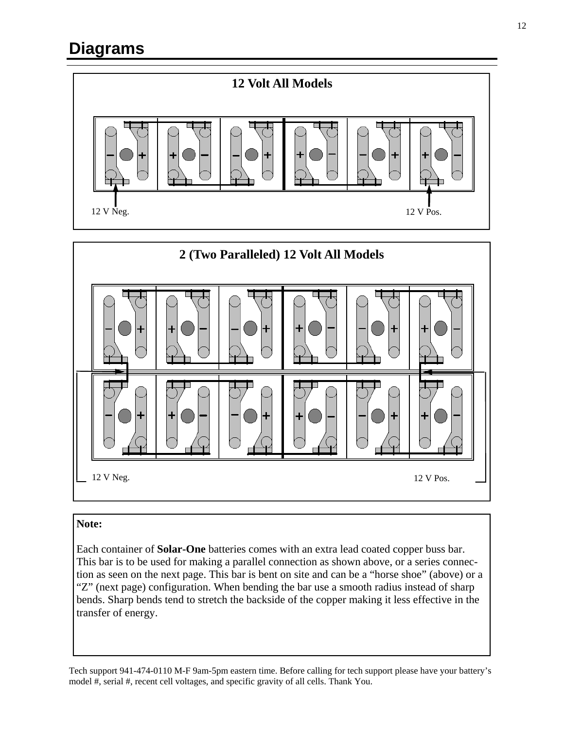## **Diagrams**





#### **Note:**

Each container of **Solar-One** batteries comes with an extra lead coated copper buss bar. This bar is to be used for making a parallel connection as shown above, or a series connection as seen on the next page. This bar is bent on site and can be a "horse shoe" (above) or a "Z" (next page) configuration. When bending the bar use a smooth radius instead of sharp bends. Sharp bends tend to stretch the backside of the copper making it less effective in the transfer of energy.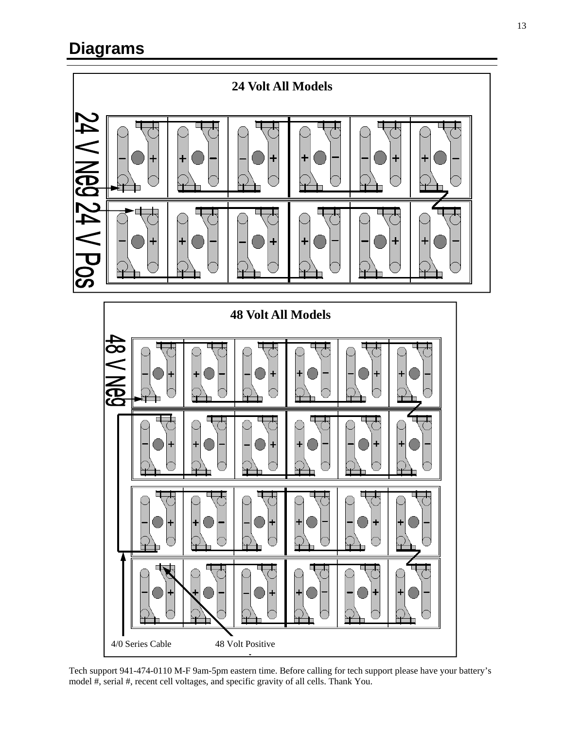### **Diagrams**





Tech support 941-474-0110 M-F 9am-5pm eastern time. Before calling for tech support please have your battery's model #, serial #, recent cell voltages, and specific gravity of all cells. Thank You.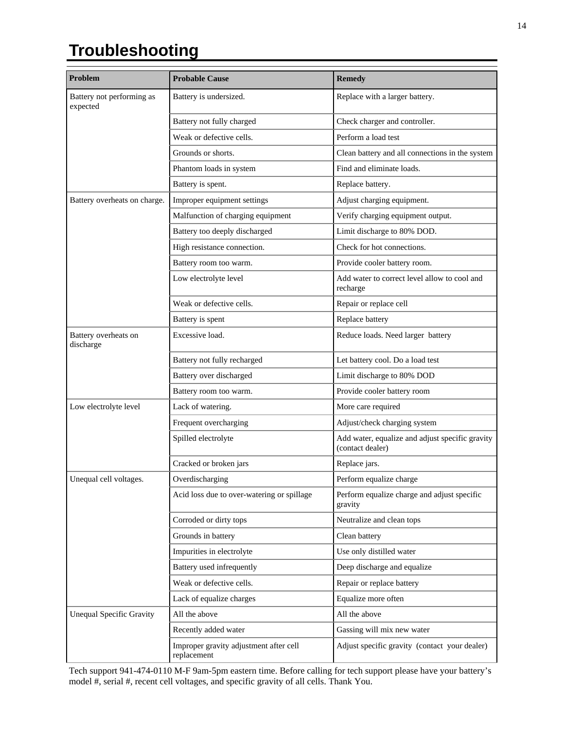# **Troubleshooting**

| Problem                               | <b>Probable Cause</b>                                 | <b>Remedy</b>                                                       |  |
|---------------------------------------|-------------------------------------------------------|---------------------------------------------------------------------|--|
| Battery not performing as<br>expected | Battery is undersized.                                | Replace with a larger battery.                                      |  |
|                                       | Battery not fully charged                             | Check charger and controller.                                       |  |
|                                       | Weak or defective cells.                              | Perform a load test                                                 |  |
|                                       | Grounds or shorts.                                    | Clean battery and all connections in the system                     |  |
|                                       | Phantom loads in system                               | Find and eliminate loads.                                           |  |
|                                       | Battery is spent.                                     | Replace battery.                                                    |  |
| Battery overheats on charge.          | Improper equipment settings                           | Adjust charging equipment.                                          |  |
|                                       | Malfunction of charging equipment                     | Verify charging equipment output.                                   |  |
|                                       | Battery too deeply discharged                         | Limit discharge to 80% DOD.                                         |  |
|                                       | High resistance connection.                           | Check for hot connections.                                          |  |
|                                       | Battery room too warm.                                | Provide cooler battery room.                                        |  |
|                                       | Low electrolyte level                                 | Add water to correct level allow to cool and<br>recharge            |  |
|                                       | Weak or defective cells.                              | Repair or replace cell                                              |  |
|                                       | Battery is spent                                      | Replace battery                                                     |  |
| Battery overheats on<br>discharge     | Excessive load.                                       | Reduce loads. Need larger battery                                   |  |
|                                       | Battery not fully recharged                           | Let battery cool. Do a load test                                    |  |
|                                       | Battery over discharged                               | Limit discharge to 80% DOD                                          |  |
|                                       | Battery room too warm.                                | Provide cooler battery room                                         |  |
| Low electrolyte level                 | Lack of watering.                                     | More care required                                                  |  |
|                                       | Frequent overcharging                                 | Adjust/check charging system                                        |  |
|                                       | Spilled electrolyte                                   | Add water, equalize and adjust specific gravity<br>(contact dealer) |  |
|                                       | Cracked or broken jars                                | Replace jars.                                                       |  |
| Unequal cell voltages.                | Overdischarging                                       | Perform equalize charge                                             |  |
|                                       | Acid loss due to over-watering or spillage            | Perform equalize charge and adjust specific<br>gravity              |  |
|                                       | Corroded or dirty tops                                | Neutralize and clean tops                                           |  |
|                                       | Grounds in battery                                    | Clean battery                                                       |  |
|                                       | Impurities in electrolyte                             | Use only distilled water                                            |  |
|                                       | Battery used infrequently                             | Deep discharge and equalize                                         |  |
|                                       | Weak or defective cells.                              | Repair or replace battery                                           |  |
|                                       | Lack of equalize charges                              | Equalize more often                                                 |  |
| <b>Unequal Specific Gravity</b>       | All the above                                         | All the above                                                       |  |
|                                       | Recently added water                                  | Gassing will mix new water                                          |  |
|                                       | Improper gravity adjustment after cell<br>replacement | Adjust specific gravity (contact your dealer)                       |  |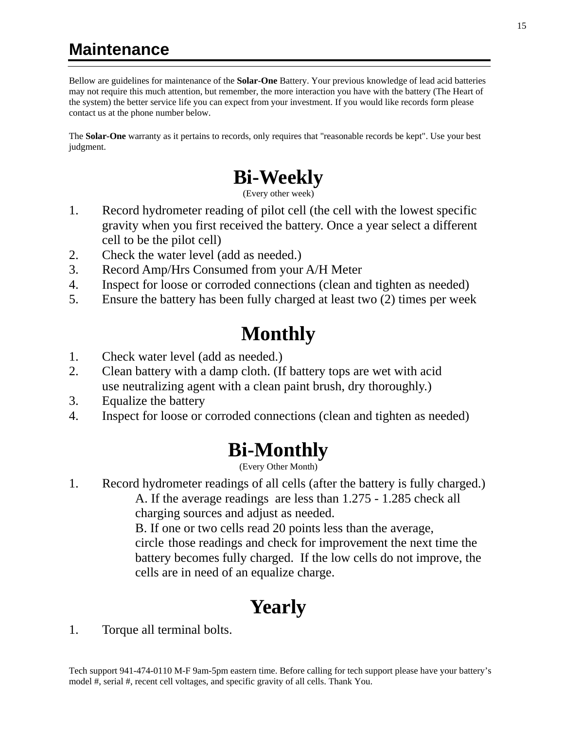### **Maintenance**

Bellow are guidelines for maintenance of the **Solar-One** Battery. Your previous knowledge of lead acid batteries may not require this much attention, but remember, the more interaction you have with the battery (The Heart of the system) the better service life you can expect from your investment. If you would like records form please contact us at the phone number below.

The **Solar-One** warranty as it pertains to records, only requires that "reasonable records be kept". Use your best judgment.

# **Bi-Weekly**

(Every other week)

- 1. Record hydrometer reading of pilot cell (the cell with the lowest specific gravity when you first received the battery. Once a year select a different cell to be the pilot cell)
- 2. Check the water level (add as needed.)
- 3. Record Amp/Hrs Consumed from your A/H Meter
- 4. Inspect for loose or corroded connections (clean and tighten as needed)
- 5. Ensure the battery has been fully charged at least two (2) times per week

# **Monthly**

- 1. Check water level (add as needed.)
- 2. Clean battery with a damp cloth. (If battery tops are wet with acid use neutralizing agent with a clean paint brush, dry thoroughly.)
- 3. Equalize the battery
- 4. Inspect for loose or corroded connections (clean and tighten as needed)

# **Bi-Monthly**

(Every Other Month)

1. Record hydrometer readings of all cells (after the battery is fully charged.) A. If the average readings are less than 1.275 - 1.285 check all charging sources and adjust as needed.

 B. If one or two cells read 20 points less than the average, circle those readings and check for improvement the next time the battery becomes fully charged. If the low cells do not improve, the cells are in need of an equalize charge.

# **Yearly**

1. Torque all terminal bolts.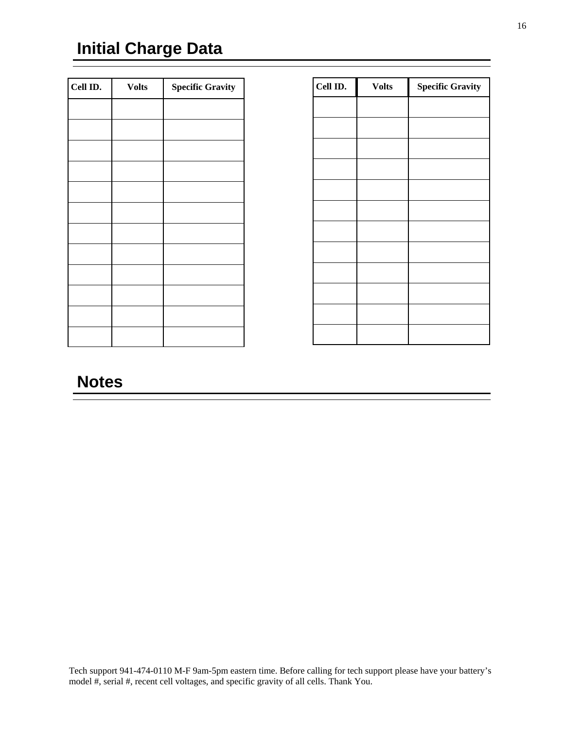### **Initial Charge Data**

| Cell ID. | <b>Volts</b> | <b>Specific Gravity</b> |
|----------|--------------|-------------------------|
|          |              |                         |
|          |              |                         |
|          |              |                         |
|          |              |                         |
|          |              |                         |
|          |              |                         |
|          |              |                         |
|          |              |                         |
|          |              |                         |
|          |              |                         |
|          |              |                         |
|          |              |                         |
|          |              |                         |

| Cell ID. | <b>Volts</b> | <b>Specific Gravity</b> |
|----------|--------------|-------------------------|
|          |              |                         |
|          |              |                         |
|          |              |                         |
|          |              |                         |
|          |              |                         |
|          |              |                         |
|          |              |                         |
|          |              |                         |
|          |              |                         |
|          |              |                         |
|          |              |                         |
|          |              |                         |

#### **Notes**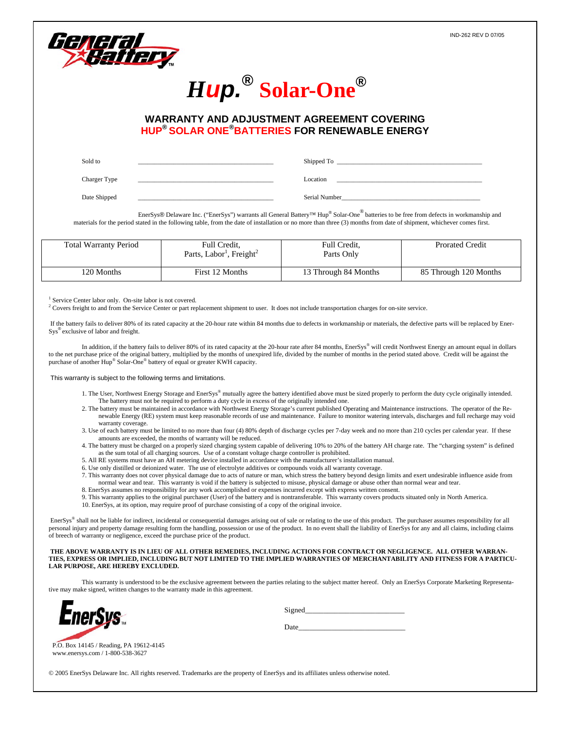17





#### **WARRANTY AND ADJUSTMENT AGREEMENT COVERING HUP® SOLAR ONE®BATTERIES FOR RENEWABLE ENERGY**

| Sold to      | Shipped To    |
|--------------|---------------|
| Charger Type | Location      |
| Date Shipped | Serial Number |

 EnerSys® Delaware Inc. ("EnerSys") warrants all General Battery™ Hup® Solar-One® batteries to be free from defects in workmanship and materials for the period stated in the following table, from the date of installation or no more than three (3) months from date of shipment, whichever comes first.

| <b>Total Warranty Period</b> | Full Credit,<br>Parts, Labor <sup>1</sup> , Freight <sup>2</sup> | Full Credit,<br>Parts Only | <b>Prorated Credit</b> |
|------------------------------|------------------------------------------------------------------|----------------------------|------------------------|
| 120 Months                   | First 12 Months                                                  | 13 Through 84 Months       | 85 Through 120 Months  |

<sup>1</sup> Service Center labor only. On-site labor is not covered.

<sup>2</sup> Covers freight to and from the Service Center or part replacement shipment to user. It does not include transportation charges for on-site service.

 If the battery fails to deliver 80% of its rated capacity at the 20-hour rate within 84 months due to defects in workmanship or materials, the defective parts will be replaced by Ener-Sys® exclusive of labor and freight.

In addition, if the battery fails to deliver 80% of its rated capacity at the 20-hour rate after 84 months, EnerSys® will credit Northwest Energy an amount equal in dollars to the net purchase price of the original battery, multiplied by the months of unexpired life, divided by the number of months in the period stated above. Credit will be against the purchase of another Hup® Solar-One® battery of equal or greater KWH capacity.

This warranty is subject to the following terms and limitations.

- 1. The User, Northwest Energy Storage and EnerSys® mutually agree the battery identified above must be sized properly to perform the duty cycle originally intended. The battery must not be required to perform a duty cycle in excess of the originally intended one.
- 2. The battery must be maintained in accordance with Northwest Energy Storage's current published Operating and Maintenance instructions. The operator of the Renewable Energy (RE) system must keep reasonable records of use and maintenance. Failure to monitor watering intervals, discharges and full recharge may void warranty coverage.
- 3. Use of each battery must be limited to no more than four (4) 80% depth of discharge cycles per 7-day week and no more than 210 cycles per calendar year. If these amounts are exceeded, the months of warranty will be reduced.
- 4. The battery must be charged on a properly sized charging system capable of delivering 10% to 20% of the battery AH charge rate. The "charging system" is defined as the sum total of all charging sources. Use of a constant voltage charge controller is prohibited.
- 5. All RE systems must have an AH metering device installed in accordance with the manufacturer's installation manual.
- 6. Use only distilled or deionized water. The use of electrolyte additives or compounds voids all warranty coverage.
- 7. This warranty does not cover physical damage due to acts of nature or man, which stress the battery beyond design limits and exert undesirable influence aside from normal wear and tear. This warranty is void if the battery is subjected to misuse, physical damage or abuse other than normal wear and tear.
- 8. EnerSys assumes no responsibility for any work accomplished or expenses incurred except with express written consent.
- 9. This warranty applies to the original purchaser (User) of the battery and is nontransferable. This warranty covers products situated only in North America. 10. EnerSys, at its option, may require proof of purchase consisting of a copy of the original invoice.

EnerSys® shall not be liable for indirect, incidental or consequential damages arising out of sale or relating to the use of this product. The purchaser assumes responsibility for all personal injury and property damage resulting form the handling, possession or use of the product. In no event shall the liability of EnerSys for any and all claims, including claims of breech of warranty or negligence, exceed the purchase price of the product.

#### **THE ABOVE WARRANTY IS IN LIEU OF ALL OTHER REMEDIES, INCLUDING ACTIONS FOR CONTRACT OR NEGLIGENCE. ALL OTHER WARRAN-TIES, EXPRESS OR IMPLIED, INCLUDING BUT NOT LIMITED TO THE IMPLIED WARRANTIES OF MERCHANTABILITY AND FITNESS FOR A PARTICU-LAR PURPOSE, ARE HEREBY EXCLUDED.**

This warranty is understood to be the exclusive agreement between the parties relating to the subject matter hereof. Only an EnerSys Corporate Marketing Representative may make signed, written changes to the warranty made in this agreement.



|  | Signed |  |  |  |  |  |
|--|--------|--|--|--|--|--|
|--|--------|--|--|--|--|--|

Date\_\_\_\_\_\_\_\_\_\_\_\_\_\_\_\_\_\_\_\_\_\_\_\_\_\_\_\_\_

P.O. Box 14145 / Reading, PA 19612-4145 www.enersys.com / 1-800-538-3627

© 2005 EnerSys Delaware Inc. All rights reserved. Trademarks are the property of EnerSys and its affiliates unless otherwise noted.